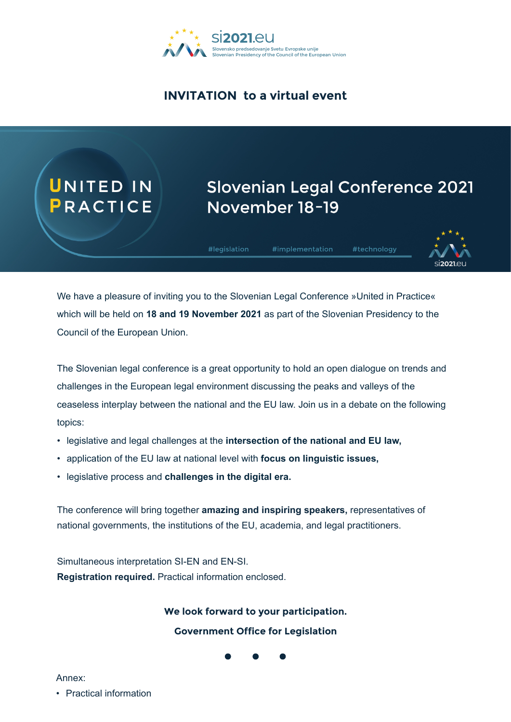

### **INVITATION to a virtual event**

# UNITED IN

# **Slovenian Legal Conference 2021** November 18-19

#legislation

#implementation #technology



We have a pleasure of inviting you to the Slovenian Legal Conference »United in Practice« which will be held on **18 and 19 November 2021** as part of the Slovenian Presidency to the Council of the European Union.

The Slovenian legal conference is a great opportunity to hold an open dialogue on trends and challenges in the European legal environment discussing the peaks and valleys of the ceaseless interplay between the national and the EU law. Join us in a debate on the following topics:

- legislative and legal challenges at the **intersection of the national and EU law,**
- application of the EU law at national level with **focus on linguistic issues,**
- legislative process and **challenges in the digital era.**

The conference will bring together **amazing and inspiring speakers,** representatives of national governments, the institutions of the EU, academia, and legal practitioners.

Simultaneous interpretation SI-EN and EN-SI. **Registration required.** Practical information enclosed.

#### **We look forward to your participation.**

**Government Office for Legislation**



Annex:

• Practical information